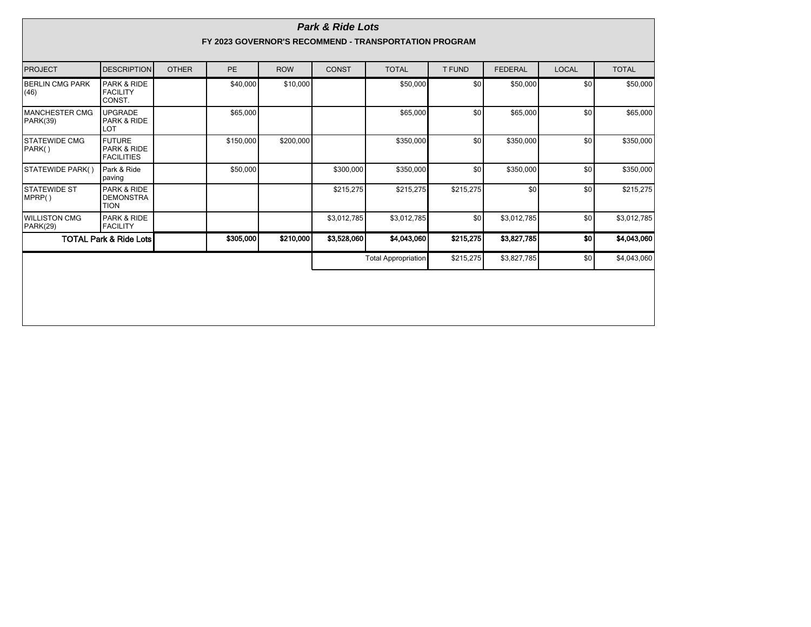| <b>Park &amp; Ride Lots</b><br>FY 2023 GOVERNOR'S RECOMMEND - TRANSPORTATION PROGRAM |                                                   |              |           |            |              |                            |               |                |              |              |
|--------------------------------------------------------------------------------------|---------------------------------------------------|--------------|-----------|------------|--------------|----------------------------|---------------|----------------|--------------|--------------|
| <b>PROJECT</b>                                                                       | <b>DESCRIPTION</b>                                | <b>OTHER</b> | <b>PE</b> | <b>ROW</b> | <b>CONST</b> | <b>TOTAL</b>               | <b>T FUND</b> | <b>FEDERAL</b> | <b>LOCAL</b> | <b>TOTAL</b> |
| <b>BERLIN CMG PARK</b><br>(46)                                                       | PARK & RIDE<br><b>FACILITY</b><br>CONST.          |              | \$40,000  | \$10,000   |              | \$50,000                   | \$0           | \$50,000       | \$0          | \$50,000     |
| MANCHESTER CMG<br>PARK(39)                                                           | <b>UPGRADE</b><br>PARK & RIDE<br>LOT              |              | \$65,000  |            |              | \$65,000                   | \$0           | \$65,000       | \$0          | \$65,000     |
| <b>STATEWIDE CMG</b><br>PARK()                                                       | <b>FUTURE</b><br>PARK & RIDE<br><b>FACILITIES</b> |              | \$150,000 | \$200,000  |              | \$350,000                  | \$0           | \$350,000      | \$0          | \$350,000    |
| STATEWIDE PARK()                                                                     | Park & Ride<br>paving                             |              | \$50,000  |            | \$300,000    | \$350,000                  | \$0           | \$350,000      | \$0          | \$350,000    |
| <b>STATEWIDE ST</b><br>MPRP()                                                        | PARK & RIDE<br><b>DEMONSTRA</b><br><b>TION</b>    |              |           |            | \$215,275    | \$215,275                  | \$215,275     | \$0            | \$0          | \$215,275    |
| <b>WILLISTON CMG</b><br>PARK(29)                                                     | PARK & RIDE<br><b>FACILITY</b>                    |              |           |            | \$3,012,785  | \$3,012,785                | \$0           | \$3,012,785    | \$0          | \$3,012,785  |
| <b>TOTAL Park &amp; Ride Lots</b>                                                    |                                                   |              | \$305,000 | \$210,000  | \$3,528,060  | \$4,043,060                | \$215,275     | \$3,827,785    | \$0          | \$4,043,060  |
|                                                                                      |                                                   |              |           |            |              | <b>Total Appropriation</b> | \$215,275     | \$3,827,785    | \$0          | \$4,043,060  |
|                                                                                      |                                                   |              |           |            |              |                            |               |                |              |              |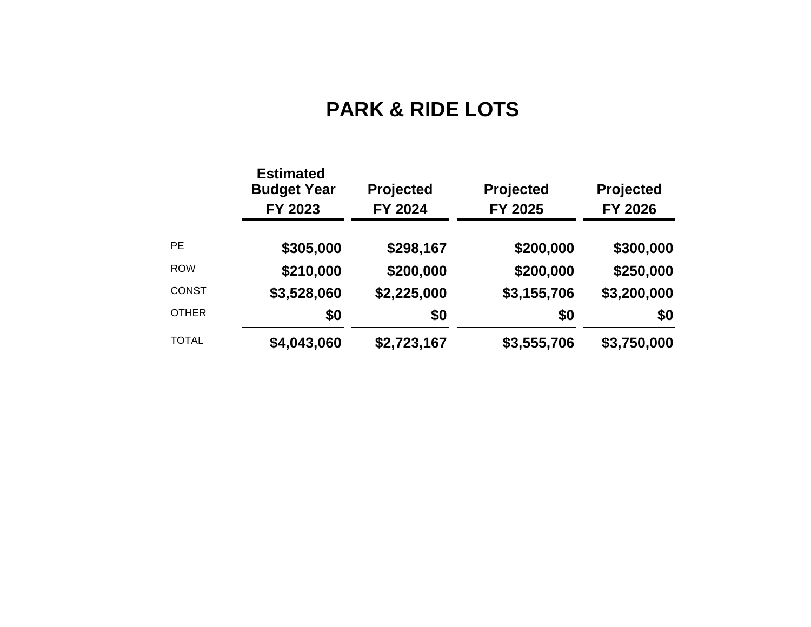## **PARK & RIDE LOTS**

|              | <b>Estimated</b><br><b>Budget Year</b><br>FY 2023 | <b>Projected</b><br>FY 2024 | <b>Projected</b><br>FY 2025 | <b>Projected</b><br>FY 2026 |  |
|--------------|---------------------------------------------------|-----------------------------|-----------------------------|-----------------------------|--|
| <b>PE</b>    | \$305,000                                         | \$298,167                   | \$200,000                   | \$300,000                   |  |
| <b>ROW</b>   | \$210,000                                         | \$200,000                   | \$200,000                   | \$250,000                   |  |
| <b>CONST</b> | \$3,528,060                                       | \$2,225,000                 | \$3,155,706                 | \$3,200,000                 |  |
| <b>OTHER</b> | \$0                                               | \$0                         | \$0                         | \$0                         |  |
| <b>TOTAL</b> | \$4,043,060                                       | \$2,723,167                 | \$3,555,706                 | \$3,750,000                 |  |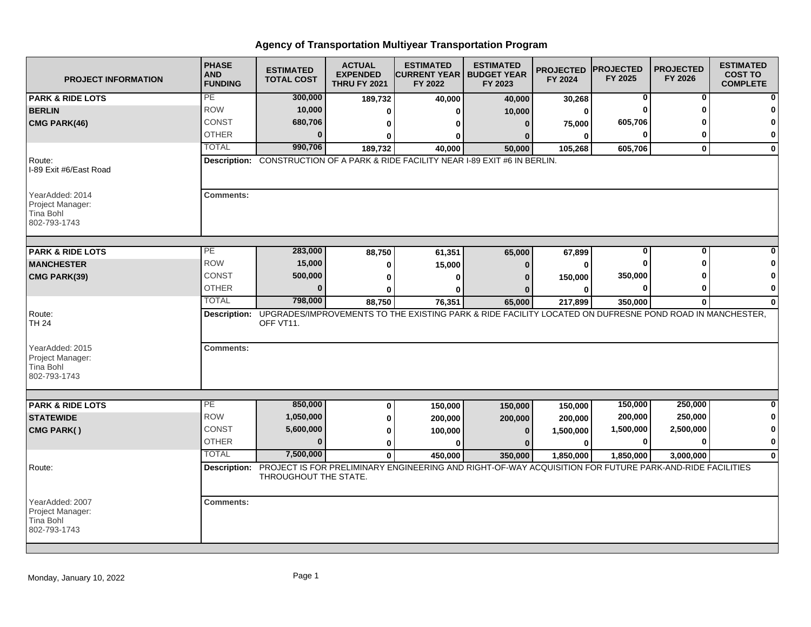## **Agency of Transportation Multiyear Transportation Program**

| <b>PROJECT INFORMATION</b>                                       | <b>PHASE</b><br><b>AND</b><br><b>FUNDING</b>                                     | <b>ESTIMATED</b><br><b>TOTAL COST</b> | <b>ACTUAL</b><br><b>EXPENDED</b><br><b>THRU FY 2021</b> | <b>ESTIMATED</b><br><b>ICURRENT YEAR I</b><br>FY 2022 | <b>ESTIMATED</b><br><b>BUDGET YEAR</b><br>FY 2023                                                                    | <b>PROJECTED</b><br>FY 2024 | <b>IPROJECTED</b><br>FY 2025 | <b>PROJECTED</b><br>FY 2026 | <b>ESTIMATED</b><br><b>COST TO</b><br><b>COMPLETE</b> |  |
|------------------------------------------------------------------|----------------------------------------------------------------------------------|---------------------------------------|---------------------------------------------------------|-------------------------------------------------------|----------------------------------------------------------------------------------------------------------------------|-----------------------------|------------------------------|-----------------------------|-------------------------------------------------------|--|
| <b>PARK &amp; RIDE LOTS</b>                                      | PE                                                                               | 300,000                               | 189,732                                                 | 40,000                                                | 40,000                                                                                                               | 30,268                      | 0                            | $\bf{0}$                    |                                                       |  |
| <b>BERLIN</b>                                                    | <b>ROW</b>                                                                       | 10,000                                | 0                                                       |                                                       | 10,000                                                                                                               | 0                           | ŋ                            | O                           |                                                       |  |
| CMG PARK(46)                                                     | CONST                                                                            | 680,706                               | 0                                                       |                                                       | $\Omega$                                                                                                             | 75,000                      | 605,706                      |                             | O                                                     |  |
|                                                                  | <b>OTHER</b>                                                                     | $\Omega$                              | ŋ                                                       |                                                       |                                                                                                                      | $\bf{0}$                    | 0                            | 0                           | 0                                                     |  |
|                                                                  | <b>TOTAL</b>                                                                     | 990,706                               | 189,732                                                 | 40,000                                                | 50,000                                                                                                               | 105,268                     | 605,706                      | $\mathbf{0}$                | $\mathbf 0$                                           |  |
| Route:<br>I-89 Exit #6/East Road                                 | Description: CONSTRUCTION OF A PARK & RIDE FACILITY NEAR I-89 EXIT #6 IN BERLIN. |                                       |                                                         |                                                       |                                                                                                                      |                             |                              |                             |                                                       |  |
| YearAdded: 2014<br>Project Manager:<br>Tina Bohl<br>802-793-1743 | <b>Comments:</b>                                                                 |                                       |                                                         |                                                       |                                                                                                                      |                             |                              |                             |                                                       |  |
| <b>PARK &amp; RIDE LOTS</b>                                      | PE                                                                               | 283,000                               | 88,750                                                  | 61,351                                                | 65,000                                                                                                               | 67,899                      | $\overline{0}$               | $\overline{0}$              |                                                       |  |
| <b>MANCHESTER</b>                                                | <b>ROW</b>                                                                       | 15,000                                | 0                                                       | 15,000                                                | n                                                                                                                    | $\bf{0}$                    | ŋ                            | Λ                           |                                                       |  |
| CMG PARK(39)                                                     | CONST                                                                            | 500,000                               | 0                                                       |                                                       |                                                                                                                      | 150,000                     | 350,000                      |                             | 0                                                     |  |
|                                                                  | <b>OTHER</b>                                                                     | $\bf{0}$                              | 0                                                       |                                                       |                                                                                                                      | $\bf{0}$                    | $\bf{0}$                     | 0                           | 0                                                     |  |
|                                                                  | <b>TOTAL</b>                                                                     | 798,000                               | 88,750                                                  | 76,351                                                | 65,000                                                                                                               | 217,899                     | 350,000                      | $\bf{0}$                    | $\Omega$                                              |  |
| Route:<br><b>TH 24</b>                                           |                                                                                  | OFF VT11.                             |                                                         |                                                       | Description: UPGRADES/IMPROVEMENTS TO THE EXISTING PARK & RIDE FACILITY LOCATED ON DUFRESNE POND ROAD IN MANCHESTER, |                             |                              |                             |                                                       |  |
| YearAdded: 2015<br>Project Manager:<br>Tina Bohl<br>802-793-1743 | <b>Comments:</b>                                                                 |                                       |                                                         |                                                       |                                                                                                                      |                             |                              |                             |                                                       |  |
| <b>PARK &amp; RIDE LOTS</b>                                      | PE                                                                               | 850,000                               |                                                         |                                                       |                                                                                                                      |                             | 150,000                      | 250,000                     | $\bf{0}$                                              |  |
| <b>STATEWIDE</b>                                                 | <b>ROW</b>                                                                       | 1,050,000                             | 0<br>0                                                  | 150,000<br>200,000                                    | 150,000<br>200,000                                                                                                   | 150,000<br>200,000          | 200,000                      | 250,000                     | 0                                                     |  |
| CMG PARK()                                                       | CONST                                                                            | 5,600,000                             | 0                                                       | 100,000                                               | $\Omega$                                                                                                             | 1,500,000                   | 1,500,000                    | 2,500,000                   | 0                                                     |  |
|                                                                  | <b>OTHER</b>                                                                     | $\mathbf{0}$                          | 0                                                       |                                                       |                                                                                                                      | $\bf{0}$                    | 0                            | 0                           | $\bf{0}$                                              |  |
|                                                                  | <b>TOTAL</b>                                                                     | 7,500,000                             | $\mathbf{0}$                                            | 450,000                                               | 350,000                                                                                                              | 1,850,000                   | 1.850.000                    | 3.000.000                   | $\bf{0}$                                              |  |
| Route:                                                           |                                                                                  | THROUGHOUT THE STATE.                 |                                                         |                                                       | Description: PROJECT IS FOR PRELIMINARY ENGINEERING AND RIGHT-OF-WAY ACQUISITION FOR FUTURE PARK-AND-RIDE FACILITIES |                             |                              |                             |                                                       |  |
| YearAdded: 2007<br>Project Manager:<br>Tina Bohl<br>802-793-1743 | <b>Comments:</b>                                                                 |                                       |                                                         |                                                       |                                                                                                                      |                             |                              |                             |                                                       |  |